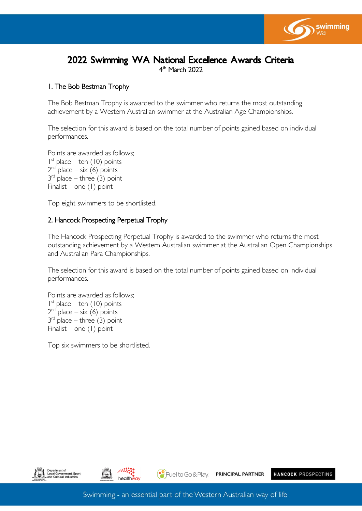

# 2022 Swimming WA National Excellence Awards Criteria 4<sup>th</sup> March 2022

### 1. The Bob Bestman Trophy

The Bob Bestman Trophy is awarded to the swimmer who returns the most outstanding achievement by a Western Australian swimmer at the Australian Age Championships.

The selection for this award is based on the total number of points gained based on individual performances.

Points are awarded as follows; 1 st place – ten (10) points  $2^{nd}$  place – six (6) points  $3<sup>rd</sup>$  place – three (3) point Finalist – one (1) point

Top eight swimmers to be shortlisted.

#### 2. Hancock Prospecting Perpetual Trophy

The Hancock Prospecting Perpetual Trophy is awarded to the swimmer who returns the most outstanding achievement by a Western Australian swimmer at the Australian Open Championships and Australian Para Championships.

The selection for this award is based on the total number of points gained based on individual performances.

Points are awarded as follows; 1 st place – ten (10) points  $2^{nd}$  place – six (6) points  $3<sup>rd</sup>$  place – three (3) point Finalist – one (1) point

Top six swimmers to be shortlisted.





 $\left(\begin{array}{c}\bullet\\ \bullet\end{array}\right)$  Fuel to Go & Play.

PRINCIPAL PARTNER